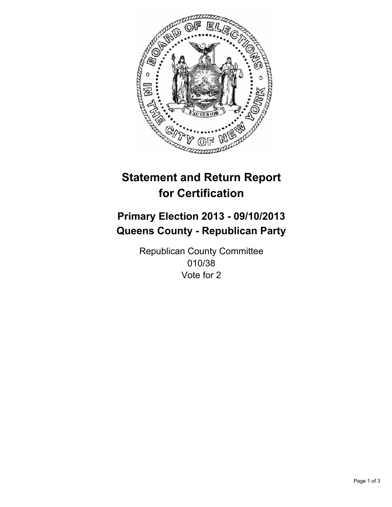

# **Statement and Return Report for Certification**

# **Primary Election 2013 - 09/10/2013 Queens County - Republican Party**

Republican County Committee 010/38 Vote for 2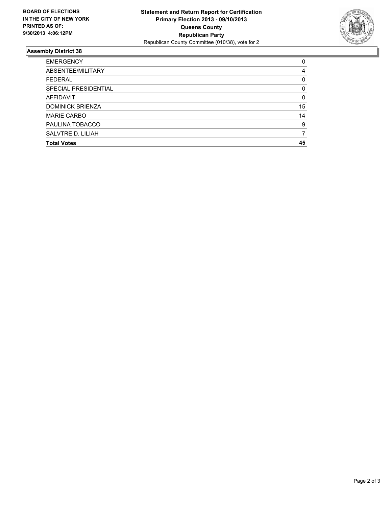

## **Assembly District 38**

| <b>EMERGENCY</b>        | 0        |
|-------------------------|----------|
| ABSENTEE/MILITARY       | 4        |
| <b>FEDERAL</b>          | 0        |
| SPECIAL PRESIDENTIAL    | 0        |
| <b>AFFIDAVIT</b>        | $\Omega$ |
| <b>DOMINICK BRIENZA</b> | 15       |
| <b>MARIE CARBO</b>      | 14       |
| PAULINA TOBACCO         | 9        |
| SALVTRE D. LILIAH       |          |
| <b>Total Votes</b>      | 45       |